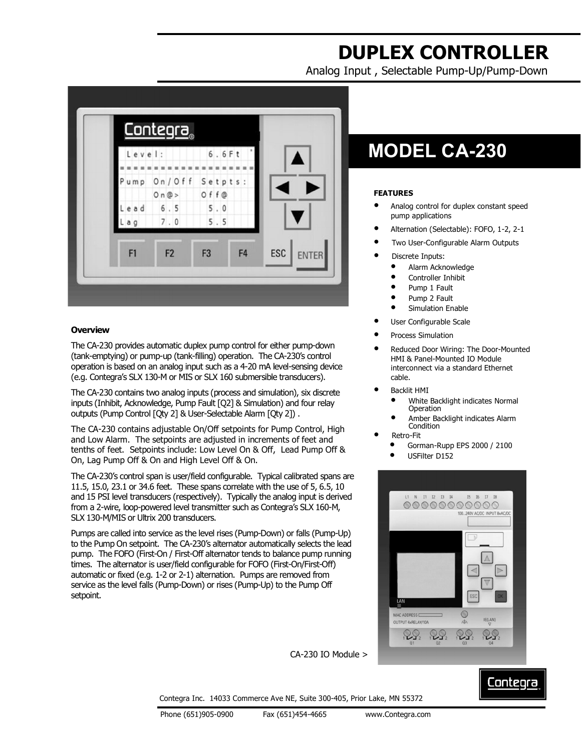# **DUPLEX CONTROLLER**

Analog Input , Selectable Pump-Up/Pump-Down



### **Overview**

The CA-230 provides automatic duplex pump control for either pump-down (tank-emptying) or pump-up (tank-filling) operation. The CA-230's control operation is based on an analog input such as a 4-20 mA level-sensing device (e.g. Contegra's SLX 130-M or MIS or SLX 160 submersible transducers).

The CA-230 contains two analog inputs (process and simulation), six discrete inputs (Inhibit, Acknowledge, Pump Fault [Q2] & Simulation) and four relay outputs (Pump Control [Qty 2] & User-Selectable Alarm [Qty 2]) .

The CA-230 contains adjustable On/Off setpoints for Pump Control, High and Low Alarm. The setpoints are adjusted in increments of feet and tenths of feet. Setpoints include: Low Level On & Off, Lead Pump Off & On, Lag Pump Off & On and High Level Off & On.

The CA-230's control span is user/field configurable. Typical calibrated spans are 11.5, 15.0, 23.1 or 34.6 feet. These spans correlate with the use of 5, 6.5, 10 and 15 PSI level transducers (respectively). Typically the analog input is derived from a 2-wire, loop-powered level transmitter such as Contegra's SLX 160-M, SLX 130-M/MIS or Ultrix 200 transducers.

Pumps are called into service as the level rises (Pump-Down) or falls (Pump-Up) to the Pump On setpoint. The CA-230's alternator automatically selects the lead pump. The FOFO (First-On / First-Off alternator tends to balance pump running times. The alternator is user/field configurable for FOFO (First-On/First-Off) automatic or fixed (e.g. 1-2 or 2-1) alternation. Pumps are removed from service as the level falls (Pump-Down) or rises (Pump-Up) to the Pump Off setpoint.

## **MODEL CA-230**

### **FEATURES**

- Analog control for duplex constant speed pump applications
- Alternation (Selectable): FOFO, 1-2, 2-1
- Two User-Configurable Alarm Outputs
- Discrete Inputs:
	- Alarm Acknowledge
	- Controller Inhibit
	- Pump 1 Fault
	- Pump 2 Fault
	- Simulation Enable
- User Configurable Scale
- Process Simulation
- Reduced Door Wiring: The Door-Mounted HMI & Panel-Mounted IO Module interconnect via a standard Ethernet cable.
- Backlit HMI
	- White Backlight indicates Normal **Operation**
	- Amber Backlight indicates Alarm **Condition**
	- Retro-Fit
	- Gorman-Rupp EPS 2000 / 2100
	- USFilter D152



CA-230 IO Module >

## Contegra

Contegra Inc. 14033 Commerce Ave NE, Suite 300-405, Prior Lake, MN 55372